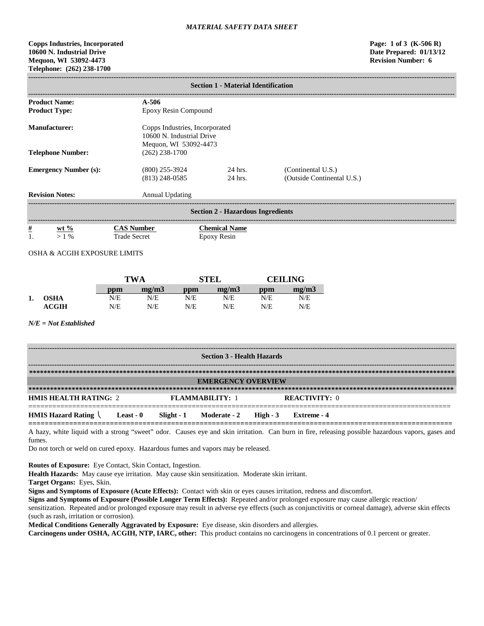## **Copps Industries, Incorporated Page: 1 of 3 (K-506 R) 10600 N. Industrial Drive Date Prepared: 01/13/12 Mequon, WI 53092-4473 Revision Number: 6 Telephone: (262) 238-1700**

|                                          | <b>Section 1 - Material Identification</b> |                                                                                      |                                                  |  |  |  |  |
|------------------------------------------|--------------------------------------------|--------------------------------------------------------------------------------------|--------------------------------------------------|--|--|--|--|
| <b>Product Name:</b>                     | $A - 506$                                  |                                                                                      |                                                  |  |  |  |  |
| <b>Product Type:</b>                     |                                            | Epoxy Resin Compound                                                                 |                                                  |  |  |  |  |
| <b>Manufacturer:</b>                     |                                            | Copps Industries, Incorporated<br>10600 N. Industrial Drive<br>Mequon, WI 53092-4473 |                                                  |  |  |  |  |
| <b>Telephone Number:</b>                 | $(262)$ 238-1700                           |                                                                                      |                                                  |  |  |  |  |
| <b>Emergency Number (s):</b>             | $(800)$ 255-3924<br>$(813)$ 248-0585       | 24 hrs.<br>24 hrs.                                                                   | (Continental U.S.)<br>(Outside Continental U.S.) |  |  |  |  |
| <b>Revision Notes:</b>                   | Annual Updating                            |                                                                                      |                                                  |  |  |  |  |
| <b>Section 2 - Hazardous Ingredients</b> |                                            |                                                                                      |                                                  |  |  |  |  |
| $\frac{\#}{1}$<br>wt $%$<br>$>1\%$       | <b>CAS Number</b><br><b>Trade Secret</b>   | <b>Chemical Name</b><br>Epoxy Resin                                                  |                                                  |  |  |  |  |

# OSHA & ACGIH EXPOSURE LIMITS

|    |                  | <b>TWA</b> |       |     | <b>STEL</b> | <b>CEILING</b> |       |
|----|------------------|------------|-------|-----|-------------|----------------|-------|
|    |                  | ppm        | me/m3 | ppm | mg/m3       | ppm            | mg/m3 |
| 1. | <b>OSHA</b>      | N/E        | N/E   | N/E | N/E         | N/E            | N/E   |
|    | $\mathbf{ACGIH}$ | N/E        | N/E   | N/E | N/E         | N/E            | N/E   |

## *N/E = Not Established*

| <b>Section 3 - Health Hazards</b>                          |  |                        |                                  |  |                      |  |
|------------------------------------------------------------|--|------------------------|----------------------------------|--|----------------------|--|
|                                                            |  |                        |                                  |  |                      |  |
|                                                            |  |                        | <b>EMERGENCY OVERVIEW</b>        |  |                      |  |
|                                                            |  |                        |                                  |  |                      |  |
| <b>HMIS HEALTH RATING: 2</b>                               |  | <b>FLAMMABILITY: 1</b> |                                  |  | <b>REACTIVITY: 0</b> |  |
| <b>HMIS Hazard Rating <math>\setminus</math> Least - 0</b> |  |                        | Slight - 1 Moderate - 2 High - 3 |  | Extreme - 4          |  |

A hazy, white liquid with a strong "sweet" odor. Causes eye and skin irritation. Can burn in fire, releasing possible hazardous vapors, gases and fumes.

Do not torch or weld on cured epoxy. Hazardous fumes and vapors may be released.

**Routes of Exposure:** Eye Contact, Skin Contact, Ingestion.

**Health Hazards:** May cause eye irritation. May cause skin sensitization. Moderate skin irritant.

**Target Organs:** Eyes, Skin.

**Signs and Symptoms of Exposure (Acute Effects):** Contact with skin or eyes causes irritation, redness and discomfort.

**Signs and Symptoms of Exposure (Possible Longer Term Effects):** Repeated and/or prolonged exposure may cause allergic reaction/

sensitization. Repeated and/or prolonged exposure may result in adverse eye effects (such as conjunctivitis or corneal damage), adverse skin effects (such as rash, irritation or corrosion).

**Medical Conditions Generally Aggravated by Exposure:** Eye disease, skin disorders and allergies.

**Carcinogens under OSHA, ACGIH, NTP, IARC, other:** This product contains no carcinogens in concentrations of 0.1 percent or greater.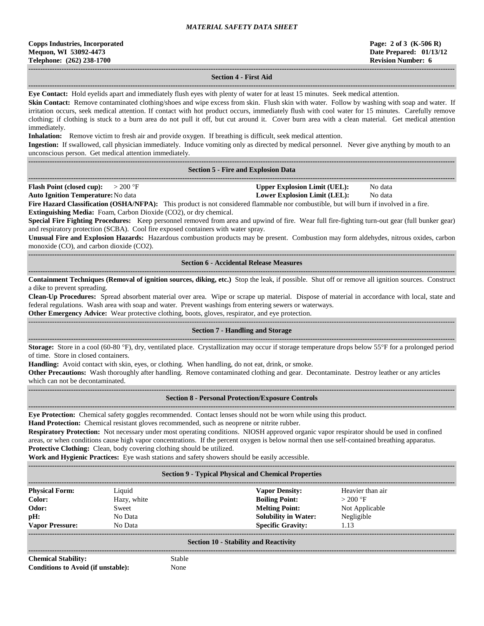### **------------------------------------------------------------------------------------------------------------------------------------------------------------------------------------ Section 4 - First Aid**

**------------------------------------------------------------------------------------------------------------------------------------------------------------------------------------ Eye Contact:** Hold eyelids apart and immediately flush eyes with plenty of water for at least 15 minutes. Seek medical attention.

**Skin Contact:** Remove contaminated clothing/shoes and wipe excess from skin. Flush skin with water. Follow by washing with soap and water. If irritation occurs, seek medical attention. If contact with hot product occurs, immediately flush with cool water for 15 minutes. Carefully remove clothing; if clothing is stuck to a burn area do not pull it off, but cut around it. Cover burn area with a clean material. Get medical attention immediately.

**Inhalation:** Remove victim to fresh air and provide oxygen. If breathing is difficult, seek medical attention.

**Ingestion:** If swallowed, call physician immediately. Induce vomiting only as directed by medical personnel. Never give anything by mouth to an unconscious person. Get medical attention immediately.

**------------------------------------------------------------------------------------------------------------------------------------------------------------------------------------**

### **Section 5 - Fire and Explosion Data**

**------------------------------------------------------------------------------------------------------------------------------------------------------------------------------------ Flash Point (closed cup):**  $> 200 \text{ °F}$  **Upper Explosion Limit (UEL):** No data **Auto Ignition Temperature:**No data **Lower Explosion Limit (LEL):** No data

**Fire Hazard Classification (OSHA/NFPA):** This product is not considered flammable nor combustible, but will burn if involved in a fire. **Extinguishing Media:** Foam, Carbon Dioxide (CO2), or dry chemical.

**Special Fire Fighting Procedures:** Keep personnel removed from area and upwind of fire. Wear full fire-fighting turn-out gear (full bunker gear) and respiratory protection (SCBA). Cool fire exposed containers with water spray.

**Unusual Fire and Explosion Hazards:** Hazardous combustion products may be present. Combustion may form aldehydes, nitrous oxides, carbon monoxide (CO), and carbon dioxide (CO2).

### **------------------------------------------------------------------------------------------------------------------------------------------------------------------------------------ Section 6 - Accidental Release Measures**

**------------------------------------------------------------------------------------------------------------------------------------------------------------------------------------ Containment Techniques (Removal of ignition sources, diking, etc.)** Stop the leak, if possible. Shut off or remove all ignition sources. Construct a dike to prevent spreading.

**Clean-Up Procedures:** Spread absorbent material over area. Wipe or scrape up material. Dispose of material in accordance with local, state and federal regulations. Wash area with soap and water. Prevent washings from entering sewers or waterways.

**Other Emergency Advice:** Wear protective clothing, boots, gloves, respirator, and eye protection.

#### ------------------------------------------------------------------------------------------------------------------------------------------------------------------------------------ **Section 7 - Handling and Storage**

**------------------------------------------------------------------------------------------------------------------------------------------------------------------------------------**

**Storage:** Store in a cool (60-80 °F), dry, ventilated place. Crystallization may occur if storage temperature drops below 55°F for a prolonged period of time. Store in closed containers.

**Handling:** Avoid contact with skin, eyes, or clothing. When handling, do not eat, drink, or smoke.

**Other Precautions:** Wash thoroughly after handling. Remove contaminated clothing and gear. Decontaminate. Destroy leather or any articles which can not be decontaminated.

### **Section 8 - Personal Protection/Exposure Controls**

**------------------------------------------------------------------------------------------------------------------------------------------------------------------------------------**

**Eye Protection:** Chemical safety goggles recommended. Contact lenses should not be worn while using this product.

**Hand Protection:** Chemical resistant gloves recommended, such as neoprene or nitrite rubber.

**Respiratory Protection:** Not necessary under most operating conditions. NIOSH approved organic vapor respirator should be used in confined areas, or when conditions cause high vapor concentrations. If the percent oxygen is below normal then use self-contained breathing apparatus. **Protective Clothing:** Clean, body covering clothing should be utilized.

**Work and Hygienic Practices:** Eye wash stations and safety showers should be easily accessible.

| <b>Section 9 - Typical Physical and Chemical Properties</b> |             |                             |                  |  |
|-------------------------------------------------------------|-------------|-----------------------------|------------------|--|
| <b>Physical Form:</b>                                       | Liquid      | <b>Vapor Density:</b>       | Heavier than air |  |
| Color:                                                      | Hazy, white | <b>Boiling Point:</b>       | $>200$ °F        |  |
| Odor:                                                       | Sweet       | <b>Melting Point:</b>       | Not Applicable   |  |
| pH:                                                         | No Data     | <b>Solubility in Water:</b> | Negligible       |  |
| <b>Vapor Pressure:</b>                                      | No Data     | <b>Specific Gravity:</b>    | 1.13             |  |
| <b>Section 10 - Stability and Reactivity</b>                |             |                             |                  |  |

**Chemical Stability:** Stable **Conditions to Avoid (if unstable):** None

**------------------------------------------------------------------------------------------------------------------------------------------------------------------------------------**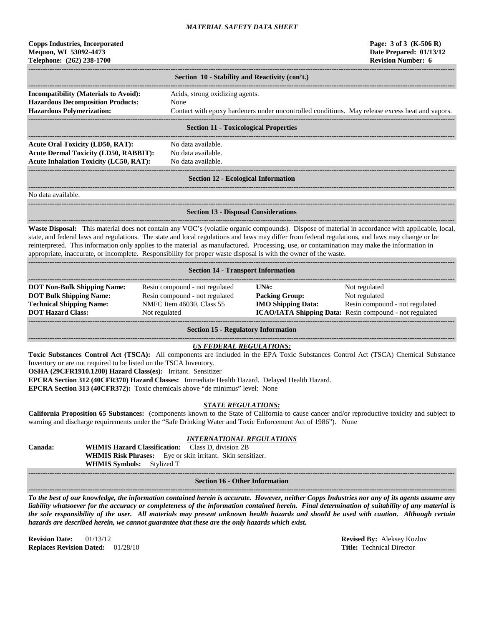## **Copps Industries, Incorporated Page: 3 of 3 (K-506 R) Mequon, WI 53092-4473 Date Prepared: 01/13/12 Telephone: (262) 238-1700 Revision Number: 6**

| Section 10 - Stability and Reactivity (con't.) |                                                                                                 |  |  |  |
|------------------------------------------------|-------------------------------------------------------------------------------------------------|--|--|--|
|                                                |                                                                                                 |  |  |  |
| <b>Incompatibility (Materials to Avoid):</b>   | Acids, strong oxidizing agents.                                                                 |  |  |  |
| <b>Hazardous Decomposition Products:</b>       | None                                                                                            |  |  |  |
| <b>Hazardous Polymerization:</b>               | Contact with epoxy hardeners under uncontrolled conditions. May release excess heat and vapors. |  |  |  |
|                                                |                                                                                                 |  |  |  |
|                                                | <b>Section 11 - Toxicological Properties</b>                                                    |  |  |  |
|                                                |                                                                                                 |  |  |  |
| Acute Oral Toxicity (LD50, RAT):               | No data available.                                                                              |  |  |  |
| <b>Acute Dermal Toxicity (LD50, RABBIT):</b>   | No data available.                                                                              |  |  |  |
| <b>Acute Inhalation Toxicity (LC50, RAT):</b>  | No data available.                                                                              |  |  |  |

### ------------------------------------------------------------------------------------------------------------------------------------------------------------------------------------ **Section 12 - Ecological Information**

**------------------------------------------------------------------------------------------------------------------------------------------------------------------------------------**

No data available.

**------------------------------------------------------------------------------------------------------------------------------------------------------------------------------------**

**Section 13 - Disposal Considerations**

**------------------------------------------------------------------------------------------------------------------------------------------------------------------------------------ Waste Disposal:** This material does not contain any VOC's (volatile organic compounds). Dispose of material in accordance with applicable, local, state, and federal laws and regulations. The state and local regulations and laws may differ from federal regulations, and laws may change or be reinterpreted. This information only applies to the material as manufactured. Processing, use, or contamination may make the information in appropriate, inaccurate, or incomplete. Responsibility for proper waste disposal is with the owner of the waste.

| <b>Section 14 - Transport Information</b>                                                                                           |                                                                                                                |                                                             |                                                                                                                             |  |  |
|-------------------------------------------------------------------------------------------------------------------------------------|----------------------------------------------------------------------------------------------------------------|-------------------------------------------------------------|-----------------------------------------------------------------------------------------------------------------------------|--|--|
| <b>DOT Non-Bulk Shipping Name:</b><br><b>DOT Bulk Shipping Name:</b><br><b>Technical Shipping Name:</b><br><b>DOT Hazard Class:</b> | Resin compound - not regulated<br>Resin compound - not regulated<br>NMFC Item 46030, Class 55<br>Not regulated | IINH:<br><b>Packing Group:</b><br><b>IMO Shipping Data:</b> | Not regulated<br>Not regulated<br>Resin compound - not regulated<br>ICAO/IATA Shipping Data: Resin compound - not regulated |  |  |

**Section 15 - Regulatory Information**

### **------------------------------------------------------------------------------------------------------------------------------------------------------------------------------------** *US FEDERAL REGULATIONS:*

**Toxic Substances Control Act (TSCA):** All components are included in the EPA Toxic Substances Control Act (TSCA) Chemical Substance Inventory or are not required to be listed on the TSCA Inventory.

**OSHA (29CFR1910.1200) Hazard Class(es):** Irritant. Sensitizer

**EPCRA Section 312 (40CFR370) Hazard Classes:** Immediate Health Hazard. Delayed Health Hazard.

**EPCRA Section 313 (40CFR372):** Toxic chemicals above "de minimus" level: None

## *STATE REGULATIONS:*

**California Proposition 65 Substances:** (components known to the State of California to cause cancer and/or reproductive toxicity and subject to warning and discharge requirements under the "Safe Drinking Water and Toxic Enforcement Act of 1986"). None

## *INTERNATIONAL REGULATIONS*

**Canada: WHMIS Hazard Classification:** Class D, division 2B **WHMIS Risk Phrases:** Eye or skin irritant. Skin sensitizer. **WHMIS Symbols:** Stylized T

### **------------------------------------------------------------------------------------------------------------------------------------------------------------------------------------ Section 16 - Other Information**

**------------------------------------------------------------------------------------------------------------------------------------------------------------------------------------**

*To the best of our knowledge, the information contained herein is accurate. However, neither Copps Industries nor any of its agents assume any liability whatsoever for the accuracy or completeness of the information contained herein. Final determination of suitability of any material is the sole responsibility of the user. All materials may present unknown health hazards and should be used with caution. Although certain hazards are described herein, we cannot guarantee that these are the only hazards which exist.*

**Revision Date:** 01/13/12 **Revised By:** Aleksey Kozlov **Revised By:** Aleksey Kozlov **Replaces Revised By:** Aleksey Kozlov **Replaces Revision Dated:** 01/28/10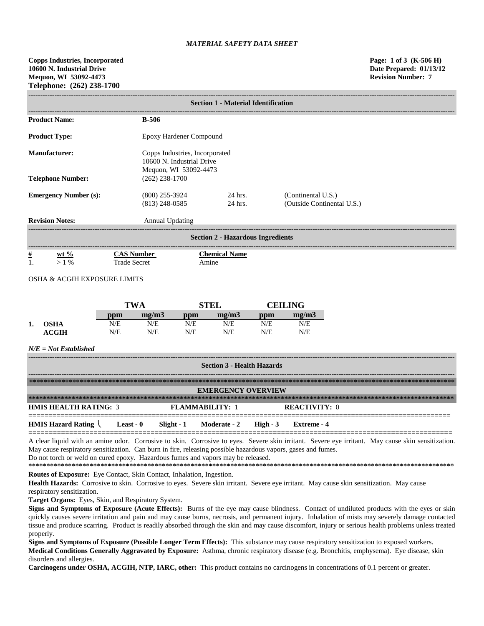| <b>Section 1 - Material Identification</b> |                         |                                                                                      |            |                                          |            |                                                  |  |
|--------------------------------------------|-------------------------|--------------------------------------------------------------------------------------|------------|------------------------------------------|------------|--------------------------------------------------|--|
| <b>Product Name:</b>                       |                         | $B-506$                                                                              |            |                                          |            |                                                  |  |
| <b>Product Type:</b>                       | Epoxy Hardener Compound |                                                                                      |            |                                          |            |                                                  |  |
| Manufacturer:                              |                         | Copps Industries, Incorporated<br>10600 N. Industrial Drive<br>Mequon, WI 53092-4473 |            |                                          |            |                                                  |  |
| <b>Telephone Number:</b>                   |                         | $(262)$ 238-1700                                                                     |            |                                          |            |                                                  |  |
| <b>Emergency Number (s):</b>               |                         | $(800)$ 255-3924<br>$(813)$ 248-0585                                                 |            | $24$ hrs.<br>24 hrs.                     |            | (Continental U.S.)<br>(Outside Continental U.S.) |  |
| <b>Revision Notes:</b>                     |                         | <b>Annual Updating</b>                                                               |            |                                          |            |                                                  |  |
|                                            |                         |                                                                                      |            | <b>Section 2 - Hazardous Ingredients</b> |            |                                                  |  |
| $\frac{\#}{1}$<br>$wt %$<br>$> 1\%$        |                         | <b>CAS Number</b><br><b>Trade Secret</b>                                             |            | <b>Chemical Name</b><br>Amine            |            |                                                  |  |
| OSHA & ACGIH EXPOSURE LIMITS               |                         |                                                                                      |            |                                          |            |                                                  |  |
|                                            |                         |                                                                                      |            |                                          |            |                                                  |  |
|                                            |                         | <b>TWA</b>                                                                           |            | <b>STEL</b>                              |            | <b>CEILING</b>                                   |  |
|                                            | ppm<br>N/E              | mg/m3<br>N/E                                                                         | ppm<br>N/E | mg/m3<br>N/E                             | ppm<br>N/E | mg/m3<br>N/E                                     |  |
| 1.<br><b>OSHA</b><br><b>ACGIH</b>          | N/E                     | N/E                                                                                  | N/E        | N/E                                      | N/E        | N/E                                              |  |
| $N/E = Not$ Established                    |                         |                                                                                      |            |                                          |            |                                                  |  |
|                                            |                         |                                                                                      |            | <b>Section 3 - Health Hazards</b>        |            |                                                  |  |
|                                            |                         |                                                                                      |            |                                          |            |                                                  |  |

| <b>EMERGENCY OVERVIEW</b>    |           |            |                        |  |               |
|------------------------------|-----------|------------|------------------------|--|---------------|
|                              |           |            |                        |  |               |
| <b>HMIS HEALTH RATING: 3</b> |           |            | <b>FLAMMARILITY: 1</b> |  | REACTIVITY: 0 |
| <b>HMIS Hazard Rating</b>    | Least - 0 | Slight - 1 | Moderate - 2 High - 3  |  | Extreme - 4   |

A clear liquid with an amine odor. Corrosive to skin. Corrosive to eyes. Severe skin irritant. Severe eye irritant. May cause skin sensitization. May cause respiratory sensitization. Can burn in fire, releasing possible hazardous vapors, gases and fumes. Do not torch or weld on cured epoxy. Hazardous fumes and vapors may be released.

**\*\*\*\*\*\*\*\*\*\*\*\*\*\*\*\*\*\*\*\*\*\*\*\*\*\*\*\*\*\*\*\*\*\*\*\*\*\*\*\*\*\*\*\*\*\*\*\*\*\*\*\*\*\*\*\*\*\*\*\*\*\*\*\*\*\*\*\*\*\*\*\*\*\*\*\*\*\*\*\*\*\*\*\*\*\*\*\*\*\*\*\*\*\*\*\*\*\*\*\*\*\*\*\*\*\*\*\*\*\*\*\*\*\*\*\*\*\* Routes of Exposure:** Eye Contact, Skin Contact, Inhalation, Ingestion.

Health Hazards: Corrosive to skin. Corrosive to eyes. Severe skin irritant. Severe eye irritant. May cause skin sensitization. May cause respiratory sensitization.

**Target Organs:** Eyes, Skin, and Respiratory System.

Signs and Symptoms of Exposure (Acute Effects): Burns of the eye may cause blindness. Contact of undiluted products with the eyes or skin quickly causes severe irritation and pain and may cause burns, necrosis, and permanent injury. Inhalation of mists may severely damage contacted tissue and produce scarring. Product is readily absorbed through the skin and may cause discomfort, injury or serious health problems unless treated properly.

**Signs and Symptoms of Exposure (Possible Longer Term Effects):** This substance may cause respiratory sensitization to exposed workers. **Medical Conditions Generally Aggravated by Exposure:** Asthma, chronic respiratory disease (e.g. Bronchitis, emphysema). Eye disease, skin disorders and allergies.

**Carcinogens under OSHA, ACGIH, NTP, IARC, other:** This product contains no carcinogens in concentrations of 0.1 percent or greater.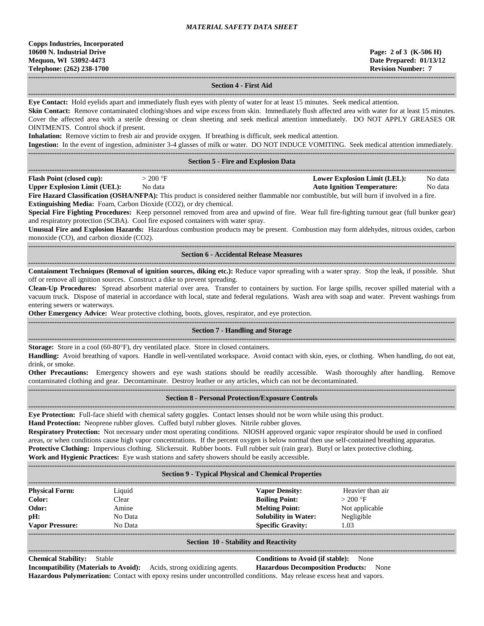## **Section 4 - First Aid**

**------------------------------------------------------------------------------------------------------------------------------------------------------------------------------------ Eye Contact:** Hold eyelids apart and immediately flush eyes with plenty of water for at least 15 minutes. Seek medical attention.

Skin Contact: Remove contaminated clothing/shoes and wipe excess from skin. Immediately flush affected area with water for at least 15 minutes. Cover the affected area with a sterile dressing or clean sheeting and seek medical attention immediately. DO NOT APPLY GREASES OR OINTMENTS. Control shock if present.

**Inhalation:** Remove victim to fresh air and provide oxygen. If breathing is difficult, seek medical attention.

**Ingestion:** In the event of ingestion, administer 3-4 glasses of milk or water. DO NOT INDUCE VOMITING. Seek medical attention immediately.

|                                     |           | <b>Section 5 - Fire and Explosion Data</b>                                                                                                                                                         |                                   |         |
|-------------------------------------|-----------|----------------------------------------------------------------------------------------------------------------------------------------------------------------------------------------------------|-----------------------------------|---------|
| <b>Flash Point (closed cup):</b>    | $>200$ °F |                                                                                                                                                                                                    | Lower Explosion Limit (LEL):      | No data |
| <b>Upper Explosion Limit (UEL):</b> | No data   |                                                                                                                                                                                                    | <b>Auto Ignition Temperature:</b> | No data |
|                                     |           | $\Gamma$ and $\Gamma$ and $\Gamma$ and $\Gamma$ and $\Gamma$ and $\Gamma$ and $\Gamma$ and $\Gamma$ are product is considered poither flammely nor combustible but will burn if involved in a fire |                                   |         |

**Fire Hazard Classification (OSHA/NFPA):** This product is considered neither flammable nor combustible, but will burn if involved in a fire. **Extinguishing Media:** Foam, Carbon Dioxide (CO2), or dry chemical.

**Special Fire Fighting Procedures:** Keep personnel removed from area and upwind of fire. Wear full fire-fighting turnout gear (full bunker gear) and respiratory protection (SCBA). Cool fire exposed containers with water spray.

**Unusual Fire and Explosion Hazards:** Hazardous combustion products may be present. Combustion may form aldehydes, nitrous oxides, carbon monoxide (CO), and carbon dioxide (CO2).

#### **------------------------------------------------------------------------------------------------------------------------------------------------------------------------------------ Section 6 - Accidental Release Measures**

**------------------------------------------------------------------------------------------------------------------------------------------------------------------------------------ Containment Techniques (Removal of ignition sources, diking etc.):** Reduce vapor spreading with a water spray. Stop the leak, if possible. Shut off or remove all ignition sources. Construct a dike to prevent spreading.

**Clean-Up Procedures:** Spread absorbent material over area. Transfer to containers by suction. For large spills, recover spilled material with a vacuum truck. Dispose of material in accordance with local, state and federal regulations. Wash area with soap and water. Prevent washings from entering sewers or waterways.

**Other Emergency Advice:** Wear protective clothing, boots, gloves, respirator, and eye protection.

### **------------------------------------------------------------------------------------------------------------------------------------------------------------------------------------ Section 7 - Handling and Storage**

**------------------------------------------------------------------------------------------------------------------------------------------------------------------------------------ Storage:** Store in a cool (60-80°F), dry ventilated place. Store in closed containers.

**Handling:** Avoid breathing of vapors. Handle in well-ventilated workspace. Avoid contact with skin, eyes, or clothing. When handling, do not eat, drink, or smoke.

**Other Precautions:** Emergency showers and eye wash stations should be readily accessible. Wash thoroughly after handling. Remove contaminated clothing and gear. Decontaminate. Destroy leather or any articles, which can not be decontaminated. **------------------------------------------------------------------------------------------------------------------------------------------------------------------------------------**

### **Section 8 - Personal Protection/Exposure Controls**

**------------------------------------------------------------------------------------------------------------------------------------------------------------------------------------**

**Eye Protection:** Full-face shield with chemical safety goggles. Contact lenses should not be worn while using this product.

**Hand Protection:** Neoprene rubber gloves. Cuffed butyl rubber gloves. Nitrile rubber gloves.

**Respiratory Protection:** Not necessary under most operating conditions. NIOSH approved organic vapor respirator should be used in confined areas, or when conditions cause high vapor concentrations. If the percent oxygen is below normal then use self-contained breathing apparatus. **Protective Clothing:** Impervious clothing. Slickersuit. Rubber boots. Full rubber suit (rain gear). Butyl or latex protective clothing. **Work and Hygienic Practices:** Eye wash stations and safety showers should be easily accessible.

| <b>Section 9 - Typical Physical and Chemical Properties</b> |         |                             |                  |  |
|-------------------------------------------------------------|---------|-----------------------------|------------------|--|
| <b>Physical Form:</b>                                       | Liquid  | <b>Vapor Density:</b>       | Heavier than air |  |
| Color:                                                      | Clear   | <b>Boiling Point:</b>       | $>200$ °F        |  |
| Odor:                                                       | Amine   | <b>Melting Point:</b>       | Not applicable   |  |
| pH:                                                         | No Data | <b>Solubility in Water:</b> | Negligible       |  |
| <b>Vapor Pressure:</b>                                      | No Data | <b>Specific Gravity:</b>    | 1.03             |  |
|                                                             |         |                             |                  |  |

### **Section 10 - Stability and Reactivity**

**------------------------------------------------------------------------------------------------------------------------------------------------------------------------------------ Chemical Stability:** Stable **Conditions to Avoid (if stable):** None

**Incompatibility (Materials to Avoid):** Acids, strong oxidizing agents. **Hazardous Decomposition Products:** None **Hazardous Polymerization:** Contact with epoxy resins under uncontrolled conditions. May release excess heat and vapors.